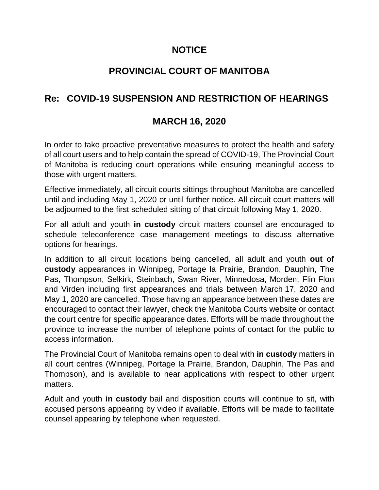## **NOTICE**

## **PROVINCIAL COURT OF MANITOBA**

## **Re: COVID-19 SUSPENSION AND RESTRICTION OF HEARINGS**

## **MARCH 16, 2020**

In order to take proactive preventative measures to protect the health and safety of all court users and to help contain the spread of COVID-19, The Provincial Court of Manitoba is reducing court operations while ensuring meaningful access to those with urgent matters.

Effective immediately, all circuit courts sittings throughout Manitoba are cancelled until and including May 1, 2020 or until further notice. All circuit court matters will be adjourned to the first scheduled sitting of that circuit following May 1, 2020.

For all adult and youth **in custody** circuit matters counsel are encouraged to schedule teleconference case management meetings to discuss alternative options for hearings.

In addition to all circuit locations being cancelled, all adult and youth **out of custody** appearances in Winnipeg, Portage la Prairie, Brandon, Dauphin, The Pas, Thompson, Selkirk, Steinbach, Swan River, Minnedosa, Morden, Flin Flon and Virden including first appearances and trials between March 17, 2020 and May 1, 2020 are cancelled. Those having an appearance between these dates are encouraged to contact their lawyer, check the Manitoba Courts website or contact the court centre for specific appearance dates. Efforts will be made throughout the province to increase the number of telephone points of contact for the public to access information.

The Provincial Court of Manitoba remains open to deal with **in custody** matters in all court centres (Winnipeg, Portage la Prairie, Brandon, Dauphin, The Pas and Thompson), and is available to hear applications with respect to other urgent matters.

Adult and youth **in custody** bail and disposition courts will continue to sit, with accused persons appearing by video if available. Efforts will be made to facilitate counsel appearing by telephone when requested.